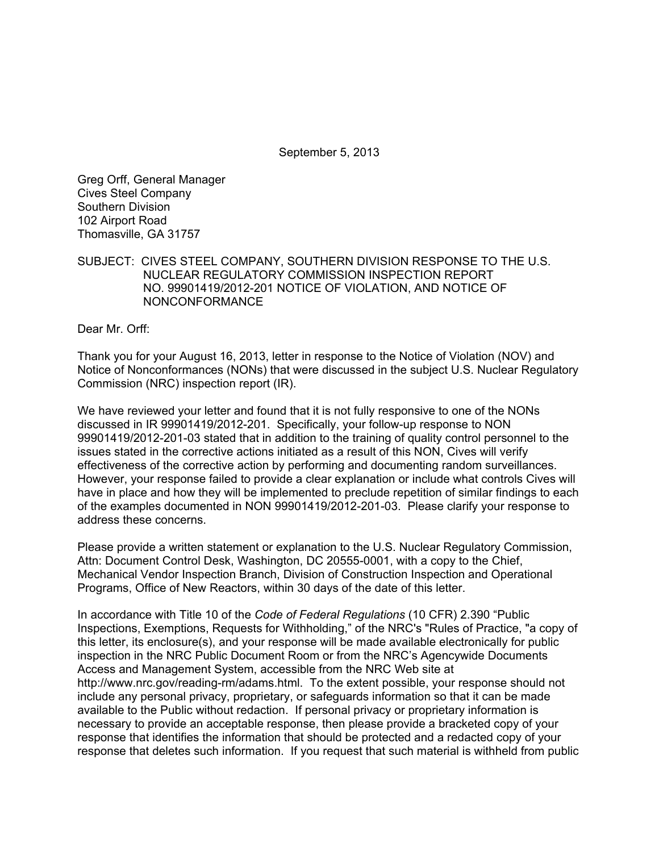September 5, 2013

Greg Orff, General Manager Cives Steel Company Southern Division 102 Airport Road Thomasville, GA 31757

SUBJECT: CIVES STEEL COMPANY, SOUTHERN DIVISION RESPONSE TO THE U.S. NUCLEAR REGULATORY COMMISSION INSPECTION REPORT NO. 99901419/2012-201 NOTICE OF VIOLATION, AND NOTICE OF NONCONFORMANCE

Dear Mr. Orff:

Thank you for your August 16, 2013, letter in response to the Notice of Violation (NOV) and Notice of Nonconformances (NONs) that were discussed in the subject U.S. Nuclear Regulatory Commission (NRC) inspection report (IR).

We have reviewed your letter and found that it is not fully responsive to one of the NONs discussed in IR 99901419/2012-201. Specifically, your follow-up response to NON 99901419/2012-201-03 stated that in addition to the training of quality control personnel to the issues stated in the corrective actions initiated as a result of this NON, Cives will verify effectiveness of the corrective action by performing and documenting random surveillances. However, your response failed to provide a clear explanation or include what controls Cives will have in place and how they will be implemented to preclude repetition of similar findings to each of the examples documented in NON 99901419/2012-201-03. Please clarify your response to address these concerns.

Please provide a written statement or explanation to the U.S. Nuclear Regulatory Commission, Attn: Document Control Desk, Washington, DC 20555-0001, with a copy to the Chief, Mechanical Vendor Inspection Branch, Division of Construction Inspection and Operational Programs, Office of New Reactors, within 30 days of the date of this letter.

In accordance with Title 10 of the *Code of Federal Regulations* (10 CFR) 2.390 "Public Inspections, Exemptions, Requests for Withholding," of the NRC's "Rules of Practice, "a copy of this letter, its enclosure(s), and your response will be made available electronically for public inspection in the NRC Public Document Room or from the NRC's Agencywide Documents Access and Management System, accessible from the NRC Web site at http://www.nrc.gov/reading-rm/adams.html. To the extent possible, your response should not include any personal privacy, proprietary, or safeguards information so that it can be made available to the Public without redaction. If personal privacy or proprietary information is necessary to provide an acceptable response, then please provide a bracketed copy of your response that identifies the information that should be protected and a redacted copy of your response that deletes such information. If you request that such material is withheld from public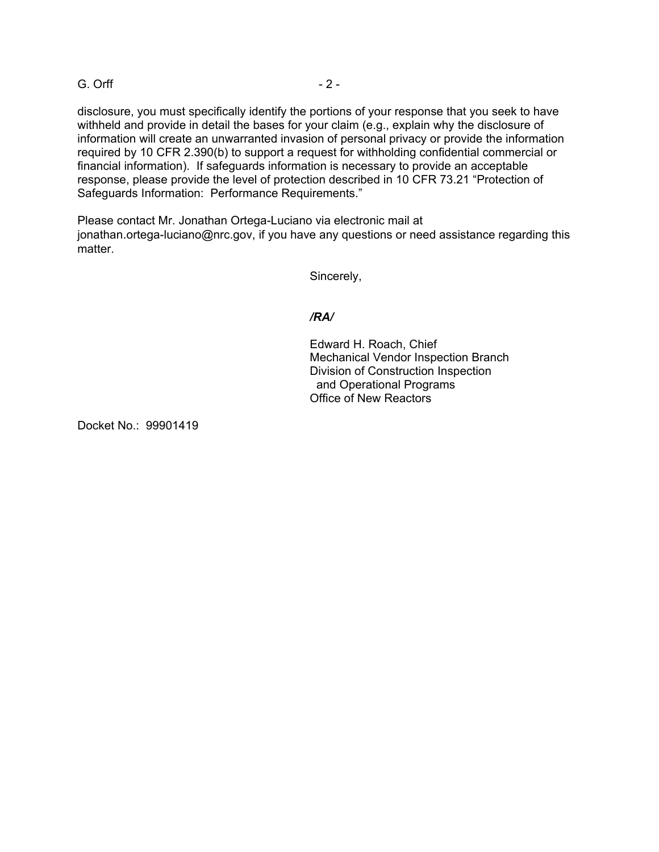# G. Orff - 2 -

disclosure, you must specifically identify the portions of your response that you seek to have withheld and provide in detail the bases for your claim (e.g., explain why the disclosure of information will create an unwarranted invasion of personal privacy or provide the information required by 10 CFR 2.390(b) to support a request for withholding confidential commercial or financial information). If safeguards information is necessary to provide an acceptable response, please provide the level of protection described in 10 CFR 73.21 "Protection of Safeguards Information: Performance Requirements."

Please contact Mr. Jonathan Ortega-Luciano via electronic mail at jonathan.ortega-luciano@nrc.gov, if you have any questions or need assistance regarding this matter.

Sincerely,

# */RA/*

Edward H. Roach, Chief Mechanical Vendor Inspection Branch Division of Construction Inspection and Operational Programs Office of New Reactors

Docket No.: 99901419